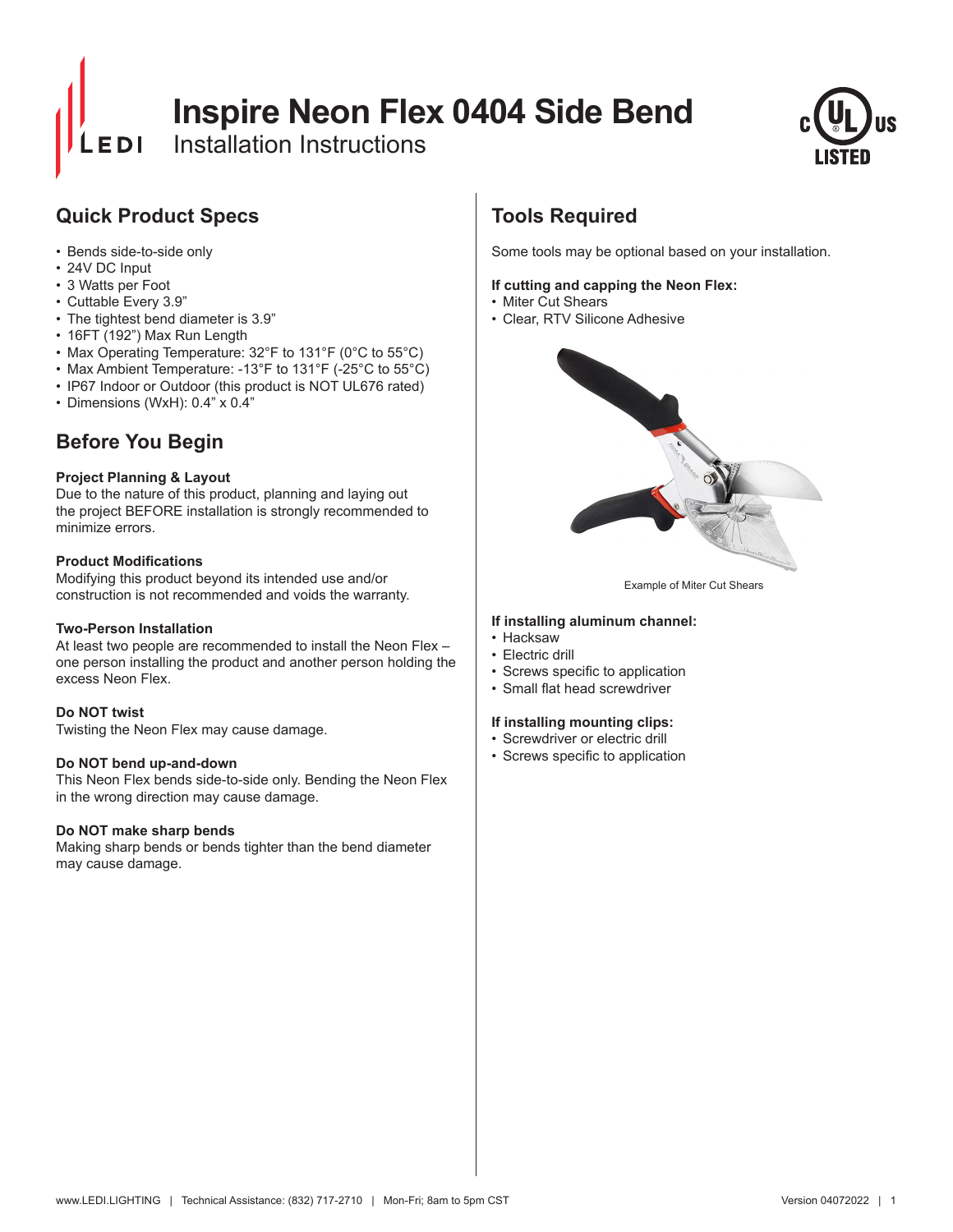# **Inspire Neon Flex 0404 Side Bend**

Installation Instructions



# **Quick Product Specs**

- Bends side-to-side only
- 24V DC Input
- 3 Watts per Foot
- Cuttable Every 3.9"
- The tightest bend diameter is 3.9"
- 16FT (192") Max Run Length
- Max Operating Temperature: 32°F to 131°F (0°C to 55°C)
- Max Ambient Temperature: -13°F to 131°F (-25°C to 55°C)
- IP67 Indoor or Outdoor (this product is NOT UL676 rated)
- Dimensions (WxH): 0.4" x 0.4"

# **Before You Begin**

### **Project Planning & Layout**

Due to the nature of this product, planning and laying out the project BEFORE installation is strongly recommended to minimize errors.

#### **Product Modifications**

Modifying this product beyond its intended use and/or construction is not recommended and voids the warranty.

### **Two-Person Installation**

At least two people are recommended to install the Neon Flex – one person installing the product and another person holding the excess Neon Flex.

#### **Do NOT twist**

Twisting the Neon Flex may cause damage.

#### **Do NOT bend up-and-down**

This Neon Flex bends side-to-side only. Bending the Neon Flex in the wrong direction may cause damage.

### **Do NOT make sharp bends**

Making sharp bends or bends tighter than the bend diameter may cause damage.

# **Tools Required**

Some tools may be optional based on your installation.

#### **If cutting and capping the Neon Flex:**

- Miter Cut Shears
- Clear, RTV Silicone Adhesive



Example of Miter Cut Shears

#### **If installing aluminum channel:**

- Hacksaw
- Electric drill
- • Screws specific to application
- • Small flat head screwdriver

#### **If installing mounting clips:**

- Screwdriver or electric drill
- • Screws specific to application